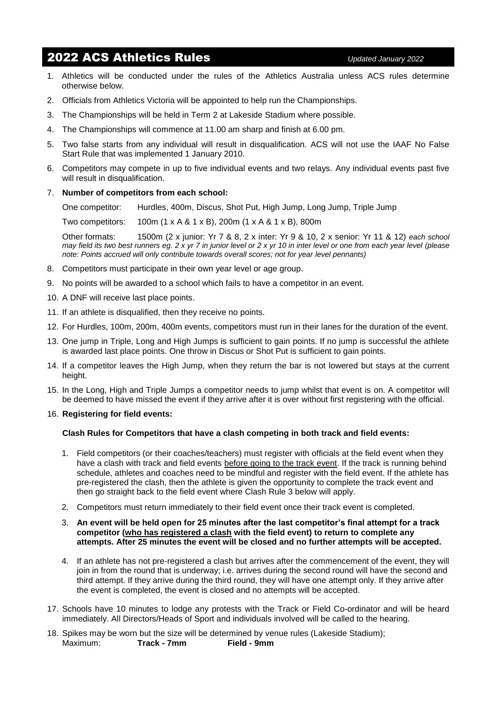# 2022 ACS Athletics Rules *Updated January <sup>2022</sup>*

- 1. Athletics will be conducted under the rules of the Athletics Australia unless ACS rules determine otherwise below.
- 2. Officials from Athletics Victoria will be appointed to help run the Championships.
- 3. The Championships will be held in Term 2 at Lakeside Stadium where possible.
- 4. The Championships will commence at 11.00 am sharp and finish at 6.00 pm.
- 5. Two false starts from any individual will result in disqualification. ACS will not use the IAAF No False Start Rule that was implemented 1 January 2010.
- 6. Competitors may compete in up to five individual events and two relays. Any individual events past five will result in disqualification.

## 7. **Number of competitors from each school:**

One competitor: Hurdles, 400m, Discus, Shot Put, High Jump, Long Jump, Triple Jump

Two competitors: 100m (1 x A & 1 x B), 200m (1 x A & 1 x B), 800m

Other formats: 1500m (2 x junior: Yr 7 & 8, 2 x inter: Yr 9 & 10, 2 x senior: Yr 11 & 12) *each school may field its two best runners eg. 2 x yr 7 in junior level or 2 x yr 10 in inter level or one from each year level (please note: Points accrued will only contribute towards overall scores; not for year level pennants)*

- 8. Competitors must participate in their own year level or age group.
- 9. No points will be awarded to a school which fails to have a competitor in an event.
- 10. A DNF will receive last place points.
- 11. If an athlete is disqualified, then they receive no points.
- 12. For Hurdles, 100m, 200m, 400m events, competitors must run in their lanes for the duration of the event.
- 13. One jump in Triple, Long and High Jumps is sufficient to gain points. If no jump is successful the athlete is awarded last place points. One throw in Discus or Shot Put is sufficient to gain points.
- 14. If a competitor leaves the High Jump, when they return the bar is not lowered but stays at the current height.
- 15. In the Long, High and Triple Jumps a competitor needs to jump whilst that event is on. A competitor will be deemed to have missed the event if they arrive after it is over without first registering with the official.

### 16. **Registering for field events:**

## **Clash Rules for Competitors that have a clash competing in both track and field events:**

- 1. Field competitors (or their coaches/teachers) must register with officials at the field event when they have a clash with track and field events before going to the track event. If the track is running behind schedule, athletes and coaches need to be mindful and register with the field event. If the athlete has pre-registered the clash, then the athlete is given the opportunity to complete the track event and then go straight back to the field event where Clash Rule 3 below will apply.
- 2. Competitors must return immediately to their field event once their track event is completed.

### 3. **An event will be held open for 25 minutes after the last competitor's final attempt for a track competitor (who has registered a clash with the field event) to return to complete any attempts. After 25 minutes the event will be closed and no further attempts will be accepted.**

- 4. If an athlete has not pre-registered a clash but arrives after the commencement of the event, they will join in from the round that is underway; i.e. arrives during the second round will have the second and third attempt. If they arrive during the third round, they will have one attempt only. If they arrive after the event is completed, the event is closed and no attempts will be accepted.
- 17. Schools have 10 minutes to lodge any protests with the Track or Field Co-ordinator and will be heard immediately. All Directors/Heads of Sport and individuals involved will be called to the hearing.
- 18. Spikes may be worn but the size will be determined by venue rules (Lakeside Stadium); Maximum: **Track - 7mm Field - 9mm**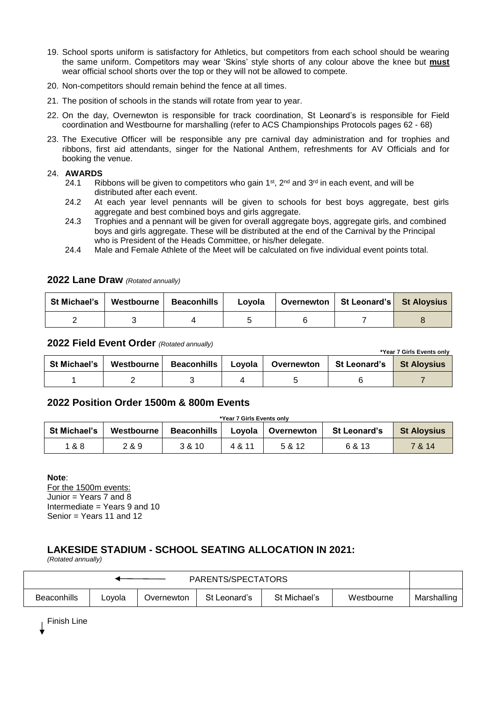- 19. School sports uniform is satisfactory for Athletics, but competitors from each school should be wearing the same uniform. Competitors may wear 'Skins' style shorts of any colour above the knee but **must** wear official school shorts over the top or they will not be allowed to compete.
- 20. Non-competitors should remain behind the fence at all times.
- 21. The position of schools in the stands will rotate from year to year.
- 22. On the day, Overnewton is responsible for track coordination, St Leonard's is responsible for Field coordination and Westbourne for marshalling (refer to ACS Championships Protocols pages 62 - 68)
- 23. The Executive Officer will be responsible any pre carnival day administration and for trophies and ribbons, first aid attendants, singer for the National Anthem, refreshments for AV Officials and for booking the venue.

## 24. **AWARDS**

- 24.1 Ribbons will be given to competitors who gain 1<sup>st</sup>,  $2^{nd}$  and  $3^{rd}$  in each event, and will be distributed after each event.
- 24.2 At each year level pennants will be given to schools for best boys aggregate, best girls aggregate and best combined boys and girls aggregate.
- 24.3 Trophies and a pennant will be given for overall aggregate boys, aggregate girls, and combined boys and girls aggregate. These will be distributed at the end of the Carnival by the Principal who is President of the Heads Committee, or his/her delegate.
- 24.4 Male and Female Athlete of the Meet will be calculated on five individual event points total.

| St Michael's   Westbourne   Beaconhills | Lovola | Overnewton   St Leonard's   St Aloysius |  |
|-----------------------------------------|--------|-----------------------------------------|--|
|                                         |        |                                         |  |

## **2022 Lane Draw** *(Rotated annually)*

# **2022 Field Event Order** *(Rotated annually)*

| *Year 7 Girls Events only |                          |  |  |                     |                |                    |  |  |
|---------------------------|--------------------------|--|--|---------------------|----------------|--------------------|--|--|
| <b>St Michael's</b>       | Westbourne   Beaconhills |  |  | Loyola   Overnewton | St Leonard's I | <b>St Aloysius</b> |  |  |
|                           |                          |  |  |                     |                |                    |  |  |

## **2022 Position Order 1500m & 800m Events**

# **\*Year 7 Girls Events only St Michael's** | Westbourne | Beaconhills | Loyola | Overnewton | St Leonard's | St Aloysius 1 & 8 2 & 9 3 & 10 4 & 11 5 & 12 6 & 13 7 & 14

## **Note**:

For the 1500m events: Junior = Years 7 and 8 Intermediate  $=$  Years 9 and 10 Senior = Years 11 and 12

# **LAKESIDE STADIUM - SCHOOL SEATING ALLOCATION IN 2021:**

*(Rotated annually)*

| PARENTS/SPECTATORS |        |            |              |              |            |             |  |
|--------------------|--------|------------|--------------|--------------|------------|-------------|--|
| <b>Beaconhills</b> | Lovola | Overnewton | St Leonard's | St Michael's | Westbourne | Marshalling |  |

Finish Line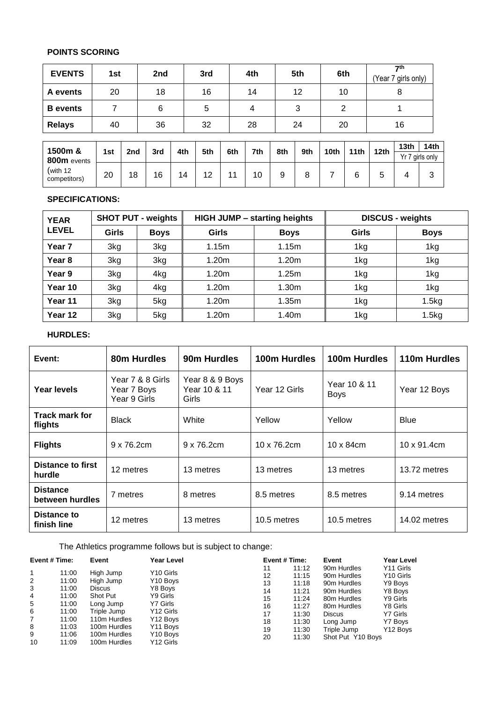# **POINTS SCORING**

| <b>EVENTS</b>              | 1st |                 | 2nd |     | 3rd |     | 4th |     | 5th | 6th              |                  |                  | $\mathbf{\tau}$ th<br>Year 7 girls only) |                  |
|----------------------------|-----|-----------------|-----|-----|-----|-----|-----|-----|-----|------------------|------------------|------------------|------------------------------------------|------------------|
| A events                   | 20  |                 | 18  |     | 16  |     | 14  |     | 12  | 10               |                  |                  | 8                                        |                  |
| <b>B</b> events            | 7   |                 | 6   |     | 5   |     | 4   |     | 3   | 2                |                  |                  | 1                                        |                  |
| <b>Relays</b>              | 40  |                 | 36  |     | 32  |     | 28  |     | 24  | 20               |                  |                  | 16                                       |                  |
|                            |     |                 |     |     |     |     |     |     |     |                  |                  |                  | 13 <sub>th</sub>                         | 14 <sub>th</sub> |
| 1500m &<br>800m events     | 1st | 2 <sub>nd</sub> | 3rd | 4th | 5th | 6th | 7th | 8th | 9th | 10 <sub>th</sub> | 11 <sub>th</sub> | 12 <sub>th</sub> |                                          | Yr 7 girls only  |
| (with $12$<br>competitors) | 20  | 18              | 16  | 14  | 12  | 11  | 10  | 9   | 8   | 7                | 6                | 5                | 4                                        | 3                |

# **SPECIFICATIONS:**

| <b>YEAR</b>       | <b>SHOT PUT - weights</b> |             |       | <b>HIGH JUMP - starting heights</b> | <b>DISCUS - weights</b> |             |  |
|-------------------|---------------------------|-------------|-------|-------------------------------------|-------------------------|-------------|--|
| <b>LEVEL</b>      | <b>Girls</b>              | <b>Boys</b> | Girls | <b>Boys</b>                         | <b>Girls</b>            | <b>Boys</b> |  |
| Year <sub>7</sub> | 3kg                       | 3kg         | 1.15m | 1.15m                               | 1kg                     | 1kg         |  |
| Year <sub>8</sub> | 3kg                       | 3kg         | 1.20m | 1.20m                               | 1kg                     | 1kg         |  |
| Year 9            | 3kg                       | 4kg         | 1.20m | 1.25m                               | 1kg                     | 1kg         |  |
| Year 10           | 3kg                       | 4kg         | 1.20m | 1.30 <sub>m</sub>                   | 1kg                     | 1kg         |  |
| Year 11           | 3kg                       | 5kg         | 1.20m | 1.35m                               | 1kg                     | 1.5kg       |  |
| Year 12           | 3kg                       | 5kg         | 1.20m | 1.40m                               | 1kg                     | 1.5kg       |  |

## **HURDLES:**

| Event:                             | 80m Hurdles                                     | 90m Hurdles                              | 100m Hurdles  | 100m Hurdles                | 110m Hurdles        |
|------------------------------------|-------------------------------------------------|------------------------------------------|---------------|-----------------------------|---------------------|
| Year levels                        | Year 7 & 8 Girls<br>Year 7 Boys<br>Year 9 Girls | Year 8 & 9 Boys<br>Year 10 & 11<br>Girls | Year 12 Girls | Year 10 & 11<br><b>Boys</b> | Year 12 Boys        |
| <b>Track mark for</b><br>flights   | <b>Black</b>                                    | White                                    | Yellow        | Yellow                      | <b>Blue</b>         |
| <b>Flights</b>                     | $9 \times 76.2$ cm                              | 9 x 76.2cm                               | 10 x 76.2cm   | $10 \times 84$ cm           | $10 \times 91.4$ cm |
| <b>Distance to first</b><br>hurdle | 12 metres                                       | 13 metres                                | 13 metres     | 13 metres                   | 13.72 metres        |
| <b>Distance</b><br>between hurdles | 7 metres                                        | 8 metres                                 | 8.5 metres    | 8.5 metres                  | 9.14 metres         |
| Distance to<br>finish line         | 12 metres                                       | 13 metres                                | 10.5 metres   | 10.5 metres                 | 14.02 metres        |

The Athletics programme follows but is subject to change:

| Event # Time: |       | Event         | Year Level            | Event # Time: |       | Event             | Year Level |  |
|---------------|-------|---------------|-----------------------|---------------|-------|-------------------|------------|--|
| 1             | 11:00 | High Jump     | Y <sub>10</sub> Girls | 11            | 11:12 | 90m Hurdles       | Y11 Girls  |  |
| 2             | 11:00 | High Jump     | Y <sub>10</sub> Boys  | 12            | 11:15 | 90m Hurdles       | Y10 Girls  |  |
| 3             | 11:00 | <b>Discus</b> | Y8 Boys               | 13            | 11:18 | 90m Hurdles       | Y9 Boys    |  |
| 4             | 11:00 | Shot Put      | Y9 Girls              | 14            | 11:21 | 90m Hurdles       | Y8 Boys    |  |
| 5             | 11:00 | Long Jump     | Y7 Girls              | 15            | 11:24 | 80m Hurdles       | Y9 Girls   |  |
| 6             | 11:00 | Triple Jump   | Y <sub>12</sub> Girls | 16            | 11:27 | 80m Hurdles       | Y8 Girls   |  |
| 7             | 11:00 | 110m Hurdles  | Y <sub>12</sub> Boys  | 17            | 11:30 | <b>Discus</b>     | Y7 Girls   |  |
| 8             | 11:03 | 100m Hurdles  | Y <sub>11</sub> Boys  | 18            | 11:30 | Long Jump         | Y7 Boys    |  |
| 9             | 11:06 | 100m Hurdles  | Y <sub>10</sub> Boys  | 19            | 11:30 | Triple Jump       | Y12 Bovs   |  |
| 10            | 11:09 | 100m Hurdles  | Y <sub>12</sub> Girls | 20            | 11:30 | Shot Put Y10 Boys |            |  |